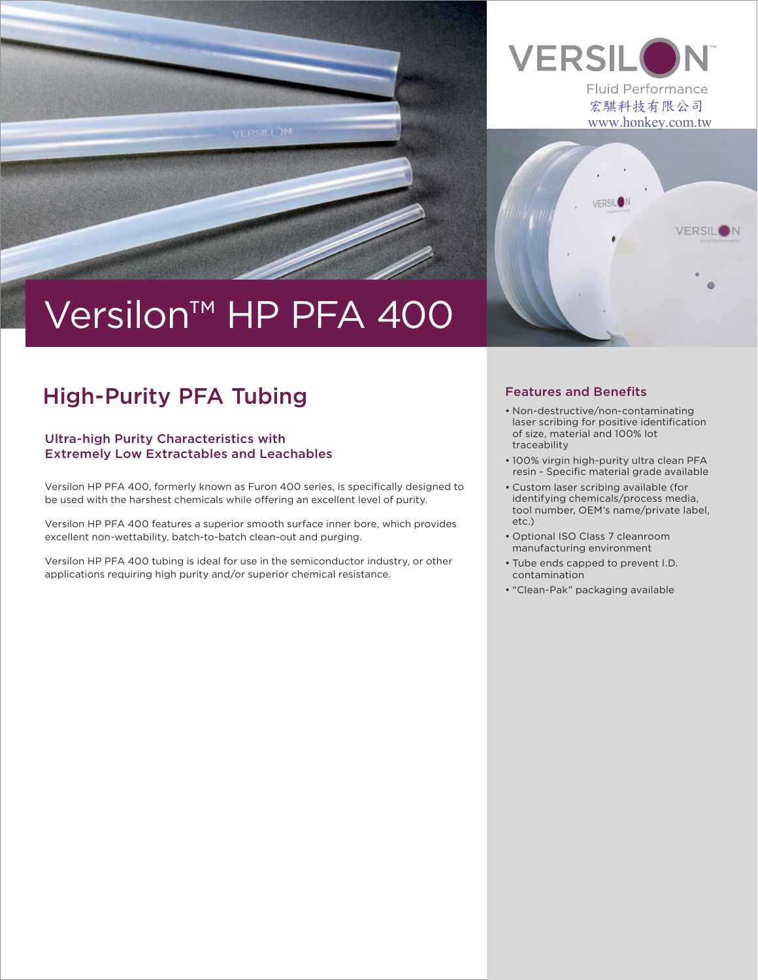

# Versilon™ HP PFA 400

# High-Purity PFA Tubing **Features** and Benefits

## Ultra-high Purity Characteristics with Extremely Low Extractables and Leachables

Versilon HP PFA 400, formerly known as Furon 400 series, is specifically designed to be used with the harshest chemicals while offering an excellent level of purity.

Versilon HP PFA 400 features a superior smooth surface inner bore, which provides excellent non-wettability, batch-to-batch clean-out and purging.

Versilon HP PFA 400 tubing is ideal for use in the semiconductor industry, or other applications requiring high purity and/or superior chemical resistance.



• Non-destructive/non-contaminating laser scribing for positive identification of size, material and 100% lot traceability

**VERSILON** 

宏騏科技有限公司 www.honkey.com.tw

**VERSILON** 

**Fluid Performance** 

**VERSIL** 

- 100% virgin high-purity ultra clean PFA resin - Specific material grade available
- Custom laser scribing available (for identifying chemicals/process media, tool number, OEM's name/private label, etc.)
- Optional ISO Class 7 cleanroom manufacturing environment
- Tube ends capped to prevent I.D. contamination
- "Clean-Pak" packaging available